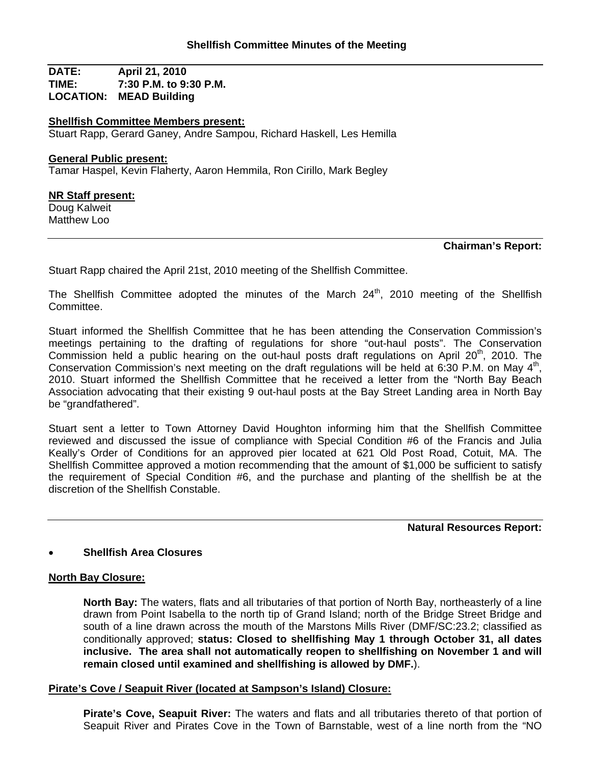**DATE: April 21, 2010 TIME: 7:30 P.M. to 9:30 P.M. LOCATION: MEAD Building**

#### **Shellfish Committee Members present:**

Stuart Rapp, Gerard Ganey, Andre Sampou, Richard Haskell, Les Hemilla

#### **General Public present:**

Tamar Haspel, Kevin Flaherty, Aaron Hemmila, Ron Cirillo, Mark Begley

#### **NR Staff present:**

Doug Kalweit Matthew Loo

#### **Chairman's Report:**

Stuart Rapp chaired the April 21st, 2010 meeting of the Shellfish Committee.

The Shellfish Committee adopted the minutes of the March  $24<sup>th</sup>$ , 2010 meeting of the Shellfish Committee.

Stuart informed the Shellfish Committee that he has been attending the Conservation Commission's meetings pertaining to the drafting of regulations for shore "out-haul posts". The Conservation Commission held a public hearing on the out-haul posts draft regulations on April 20<sup>th</sup>, 2010. The Conservation Commission's next meeting on the draft regulations will be held at 6:30 P.M. on May 4<sup>th</sup>, 2010. Stuart informed the Shellfish Committee that he received a letter from the "North Bay Beach Association advocating that their existing 9 out-haul posts at the Bay Street Landing area in North Bay be "grandfathered".

Stuart sent a letter to Town Attorney David Houghton informing him that the Shellfish Committee reviewed and discussed the issue of compliance with Special Condition #6 of the Francis and Julia Keally's Order of Conditions for an approved pier located at 621 Old Post Road, Cotuit, MA. The Shellfish Committee approved a motion recommending that the amount of \$1,000 be sufficient to satisfy the requirement of Special Condition #6, and the purchase and planting of the shellfish be at the discretion of the Shellfish Constable.

**Natural Resources Report:**

## • **Shellfish Area Closures**

## **North Bay Closure:**

**North Bay:** The waters, flats and all tributaries of that portion of North Bay, northeasterly of a line drawn from Point Isabella to the north tip of Grand Island; north of the Bridge Street Bridge and south of a line drawn across the mouth of the Marstons Mills River (DMF/SC:23.2; classified as conditionally approved; **status: Closed to shellfishing May 1 through October 31, all dates inclusive. The area shall not automatically reopen to shellfishing on November 1 and will remain closed until examined and shellfishing is allowed by DMF.**).

## **Pirate's Cove / Seapuit River (located at Sampson's Island) Closure:**

**Pirate's Cove, Seapuit River:** The waters and flats and all tributaries thereto of that portion of Seapuit River and Pirates Cove in the Town of Barnstable, west of a line north from the "NO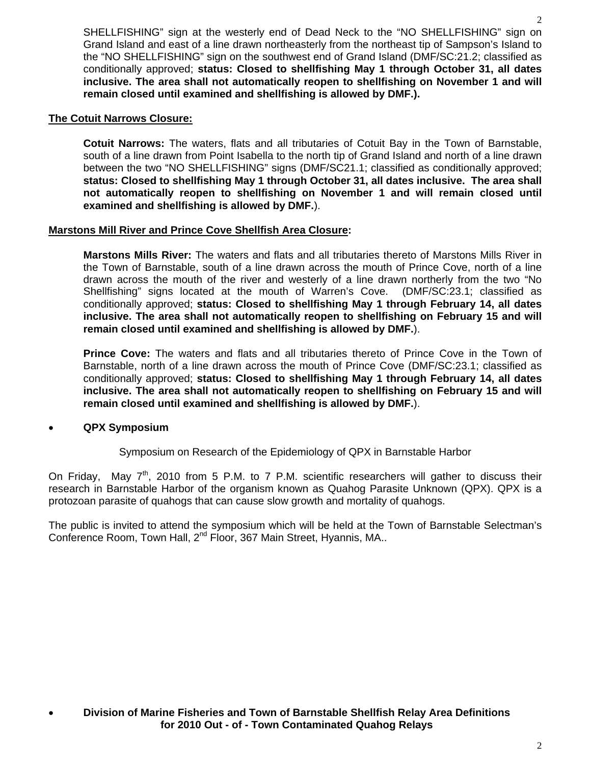SHELLFISHING" sign at the westerly end of Dead Neck to the "NO SHELLFISHING" sign on Grand Island and east of a line drawn northeasterly from the northeast tip of Sampson's Island to the "NO SHELLFISHING" sign on the southwest end of Grand Island (DMF/SC:21.2; classified as conditionally approved; **status: Closed to shellfishing May 1 through October 31, all dates inclusive. The area shall not automatically reopen to shellfishing on November 1 and will remain closed until examined and shellfishing is allowed by DMF.).**

## **The Cotuit Narrows Closure:**

**Cotuit Narrows:** The waters, flats and all tributaries of Cotuit Bay in the Town of Barnstable, south of a line drawn from Point Isabella to the north tip of Grand Island and north of a line drawn between the two "NO SHELLFISHING" signs (DMF/SC21.1; classified as conditionally approved; **status: Closed to shellfishing May 1 through October 31, all dates inclusive. The area shall not automatically reopen to shellfishing on November 1 and will remain closed until examined and shellfishing is allowed by DMF.**).

## **Marstons Mill River and Prince Cove Shellfish Area Closure:**

**Marstons Mills River:** The waters and flats and all tributaries thereto of Marstons Mills River in the Town of Barnstable, south of a line drawn across the mouth of Prince Cove, north of a line drawn across the mouth of the river and westerly of a line drawn northerly from the two "No Shellfishing" signs located at the mouth of Warren's Cove. (DMF/SC:23.1; classified as conditionally approved; **status: Closed to shellfishing May 1 through February 14, all dates inclusive. The area shall not automatically reopen to shellfishing on February 15 and will remain closed until examined and shellfishing is allowed by DMF.**).

**Prince Cove:** The waters and flats and all tributaries thereto of Prince Cove in the Town of Barnstable, north of a line drawn across the mouth of Prince Cove (DMF/SC:23.1; classified as conditionally approved; **status: Closed to shellfishing May 1 through February 14, all dates inclusive. The area shall not automatically reopen to shellfishing on February 15 and will remain closed until examined and shellfishing is allowed by DMF.**).

# • **QPX Symposium**

Symposium on Research of the Epidemiology of QPX in Barnstable Harbor

On Friday, May  $7<sup>th</sup>$ , 2010 from 5 P.M. to 7 P.M. scientific researchers will gather to discuss their research in Barnstable Harbor of the organism known as Quahog Parasite Unknown (QPX). QPX is a protozoan parasite of quahogs that can cause slow growth and mortality of quahogs.

The public is invited to attend the symposium which will be held at the Town of Barnstable Selectman's Conference Room, Town Hall, 2<sup>nd</sup> Floor, 367 Main Street, Hyannis, MA..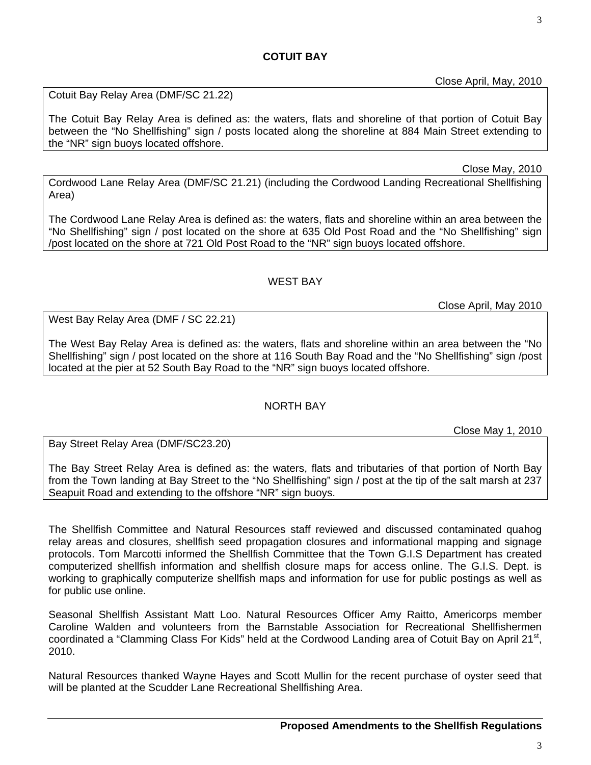Close April, May, 2010

3

Cotuit Bay Relay Area (DMF/SC 21.22)

The Cotuit Bay Relay Area is defined as: the waters, flats and shoreline of that portion of Cotuit Bay between the "No Shellfishing" sign / posts located along the shoreline at 884 Main Street extending to the "NR" sign buoys located offshore.

# Close May, 2010

Cordwood Lane Relay Area (DMF/SC 21.21) (including the Cordwood Landing Recreational Shellfishing Area)

The Cordwood Lane Relay Area is defined as: the waters, flats and shoreline within an area between the "No Shellfishing" sign / post located on the shore at 635 Old Post Road and the "No Shellfishing" sign /post located on the shore at 721 Old Post Road to the "NR" sign buoys located offshore.

# WEST BAY

Close April, May 2010

West Bay Relay Area (DMF / SC 22.21)

The West Bay Relay Area is defined as: the waters, flats and shoreline within an area between the "No Shellfishing" sign / post located on the shore at 116 South Bay Road and the "No Shellfishing" sign /post located at the pier at 52 South Bay Road to the "NR" sign buoys located offshore.

# NORTH BAY

Close May 1, 2010

Bay Street Relay Area (DMF/SC23.20)

The Bay Street Relay Area is defined as: the waters, flats and tributaries of that portion of North Bay from the Town landing at Bay Street to the "No Shellfishing" sign / post at the tip of the salt marsh at 237 Seapuit Road and extending to the offshore "NR" sign buoys.

The Shellfish Committee and Natural Resources staff reviewed and discussed contaminated quahog relay areas and closures, shellfish seed propagation closures and informational mapping and signage protocols. Tom Marcotti informed the Shellfish Committee that the Town G.I.S Department has created computerized shellfish information and shellfish closure maps for access online. The G.I.S. Dept. is working to graphically computerize shellfish maps and information for use for public postings as well as for public use online.

Seasonal Shellfish Assistant Matt Loo. Natural Resources Officer Amy Raitto, Americorps member Caroline Walden and volunteers from the Barnstable Association for Recreational Shellfishermen coordinated a "Clamming Class For Kids" held at the Cordwood Landing area of Cotuit Bay on April 21<sup>st</sup>, 2010.

Natural Resources thanked Wayne Hayes and Scott Mullin for the recent purchase of oyster seed that will be planted at the Scudder Lane Recreational Shellfishing Area.